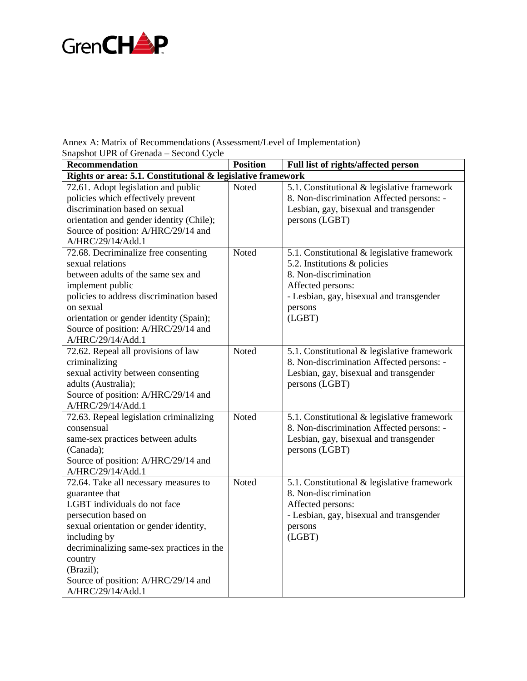

Annex A: Matrix of Recommendations (Assessment/Level of Implementation)

Snapshot UPR of Grenada – Second Cycle **Recommendation Position Full list of rights/affected person Rights or area: 5.1. Constitutional & legislative framework**  72.61. Adopt legislation and public

| 72.61. Adopt legislation and public       | Noted | 5.1. Constitutional & legislative framework |
|-------------------------------------------|-------|---------------------------------------------|
| policies which effectively prevent        |       | 8. Non-discrimination Affected persons: -   |
| discrimination based on sexual            |       | Lesbian, gay, bisexual and transgender      |
| orientation and gender identity (Chile);  |       | persons (LGBT)                              |
| Source of position: A/HRC/29/14 and       |       |                                             |
| A/HRC/29/14/Add.1                         |       |                                             |
| 72.68. Decriminalize free consenting      | Noted | 5.1. Constitutional & legislative framework |
| sexual relations                          |       | 5.2. Institutions & policies                |
| between adults of the same sex and        |       | 8. Non-discrimination                       |
| implement public                          |       | Affected persons:                           |
| policies to address discrimination based  |       | - Lesbian, gay, bisexual and transgender    |
| on sexual                                 |       | persons                                     |
| orientation or gender identity (Spain);   |       | (LGBT)                                      |
| Source of position: A/HRC/29/14 and       |       |                                             |
| A/HRC/29/14/Add.1                         |       |                                             |
| 72.62. Repeal all provisions of law       | Noted | 5.1. Constitutional & legislative framework |
| criminalizing                             |       | 8. Non-discrimination Affected persons: -   |
| sexual activity between consenting        |       | Lesbian, gay, bisexual and transgender      |
| adults (Australia);                       |       | persons (LGBT)                              |
| Source of position: A/HRC/29/14 and       |       |                                             |
| A/HRC/29/14/Add.1                         |       |                                             |
| 72.63. Repeal legislation criminalizing   | Noted | 5.1. Constitutional & legislative framework |
| consensual                                |       | 8. Non-discrimination Affected persons: -   |
| same-sex practices between adults         |       | Lesbian, gay, bisexual and transgender      |
| (Canada);                                 |       | persons (LGBT)                              |
| Source of position: A/HRC/29/14 and       |       |                                             |
| A/HRC/29/14/Add.1                         |       |                                             |
| 72.64. Take all necessary measures to     | Noted | 5.1. Constitutional & legislative framework |
| guarantee that                            |       | 8. Non-discrimination                       |
| LGBT individuals do not face              |       | Affected persons:                           |
| persecution based on                      |       | - Lesbian, gay, bisexual and transgender    |
| sexual orientation or gender identity,    |       | persons                                     |
| including by                              |       | (LGBT)                                      |
| decriminalizing same-sex practices in the |       |                                             |
| country                                   |       |                                             |
| (Brazil);                                 |       |                                             |
| Source of position: A/HRC/29/14 and       |       |                                             |
| A/HRC/29/14/Add.1                         |       |                                             |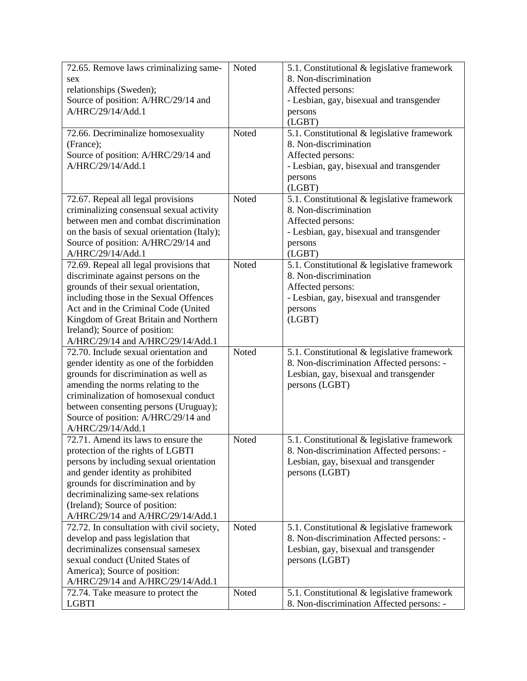| 72.65. Remove laws criminalizing same-      | Noted | 5.1. Constitutional & legislative framework |
|---------------------------------------------|-------|---------------------------------------------|
| sex                                         |       | 8. Non-discrimination                       |
| relationships (Sweden);                     |       | Affected persons:                           |
| Source of position: A/HRC/29/14 and         |       | - Lesbian, gay, bisexual and transgender    |
| A/HRC/29/14/Add.1                           |       | persons                                     |
|                                             |       | (LGBT)                                      |
| 72.66. Decriminalize homosexuality          | Noted | 5.1. Constitutional & legislative framework |
| (France);                                   |       | 8. Non-discrimination                       |
| Source of position: A/HRC/29/14 and         |       | Affected persons:                           |
| A/HRC/29/14/Add.1                           |       | - Lesbian, gay, bisexual and transgender    |
|                                             |       | persons                                     |
|                                             |       | (LGBT)                                      |
| 72.67. Repeal all legal provisions          | Noted | 5.1. Constitutional & legislative framework |
| criminalizing consensual sexual activity    |       | 8. Non-discrimination                       |
| between men and combat discrimination       |       | Affected persons:                           |
| on the basis of sexual orientation (Italy); |       | - Lesbian, gay, bisexual and transgender    |
| Source of position: A/HRC/29/14 and         |       | persons                                     |
| A/HRC/29/14/Add.1                           |       | (LGBT)                                      |
| 72.69. Repeal all legal provisions that     | Noted | 5.1. Constitutional & legislative framework |
| discriminate against persons on the         |       | 8. Non-discrimination                       |
| grounds of their sexual orientation,        |       | Affected persons:                           |
| including those in the Sexual Offences      |       | - Lesbian, gay, bisexual and transgender    |
| Act and in the Criminal Code (United        |       | persons                                     |
| Kingdom of Great Britain and Northern       |       | (LGBT)                                      |
| Ireland); Source of position:               |       |                                             |
| A/HRC/29/14 and A/HRC/29/14/Add.1           |       |                                             |
| 72.70. Include sexual orientation and       | Noted | 5.1. Constitutional & legislative framework |
| gender identity as one of the forbidden     |       | 8. Non-discrimination Affected persons: -   |
| grounds for discrimination as well as       |       | Lesbian, gay, bisexual and transgender      |
| amending the norms relating to the          |       | persons (LGBT)                              |
| criminalization of homosexual conduct       |       |                                             |
| between consenting persons (Uruguay);       |       |                                             |
| Source of position: A/HRC/29/14 and         |       |                                             |
| A/HRC/29/14/Add.1                           |       |                                             |
| 72.71. Amend its laws to ensure the         | Noted | 5.1. Constitutional & legislative framework |
| protection of the rights of LGBTI           |       | 8. Non-discrimination Affected persons: -   |
| persons by including sexual orientation     |       | Lesbian, gay, bisexual and transgender      |
| and gender identity as prohibited           |       | persons (LGBT)                              |
| grounds for discrimination and by           |       |                                             |
| decriminalizing same-sex relations          |       |                                             |
| (Ireland); Source of position:              |       |                                             |
| A/HRC/29/14 and A/HRC/29/14/Add.1           |       |                                             |
| 72.72. In consultation with civil society,  | Noted | 5.1. Constitutional & legislative framework |
| develop and pass legislation that           |       | 8. Non-discrimination Affected persons: -   |
| decriminalizes consensual samesex           |       | Lesbian, gay, bisexual and transgender      |
| sexual conduct (United States of            |       | persons (LGBT)                              |
| America); Source of position:               |       |                                             |
| A/HRC/29/14 and A/HRC/29/14/Add.1           |       |                                             |
| 72.74. Take measure to protect the          | Noted | 5.1. Constitutional & legislative framework |
| <b>LGBTI</b>                                |       | 8. Non-discrimination Affected persons: -   |